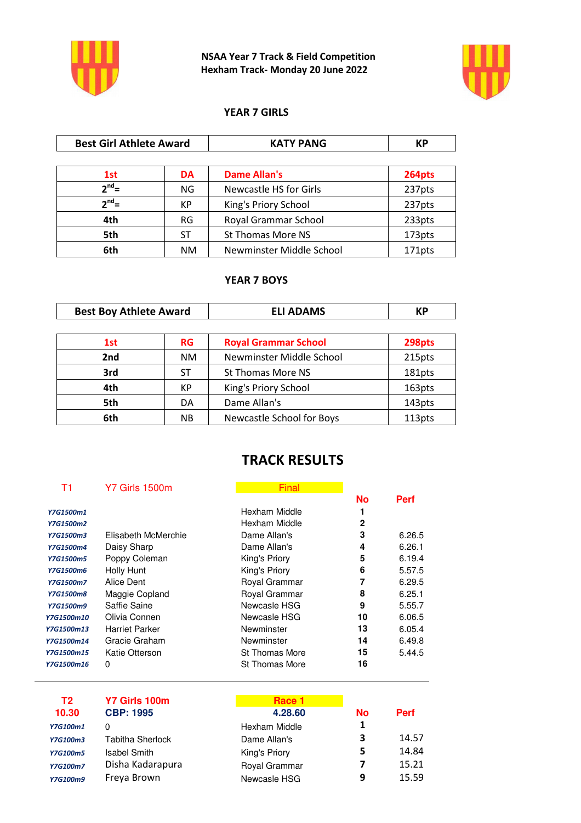

**NSAA Year 7 Track & Field Competition Hexham Track- Monday 20 June 2022**



#### **YEAR 7 GIRLS**

| <b>Best Girl Athlete Award</b> |           | <b>KATY PANG</b>              | <b>KP</b> |
|--------------------------------|-----------|-------------------------------|-----------|
|                                |           |                               |           |
| 1st                            | <b>DA</b> | <b>Dame Allan's</b>           | 264pts    |
| $2^{nd}$ =                     | NG.       | <b>Newcastle HS for Girls</b> | 237pts    |
| $2^{nd}$ =                     | КP        | King's Priory School          | 237pts    |
| 4th                            | RG        | Royal Grammar School          | 233pts    |
| 5th                            | ST        | <b>St Thomas More NS</b>      | 173pts    |
| 6th                            | NM        | Newminster Middle School      | 171pts    |

#### **YEAR 7 BOYS**

| <b>Best Boy Athlete Award</b> |           | <b>ELI ADAMS</b>            | КP     |
|-------------------------------|-----------|-----------------------------|--------|
|                               |           |                             |        |
| 1st                           | <b>RG</b> | <b>Royal Grammar School</b> | 298pts |
| 2nd                           | NM.       | Newminster Middle School    | 215pts |
| 3rd                           | ST        | <b>St Thomas More NS</b>    | 181pts |
| 4th                           | КP        | King's Priory School        | 163pts |
| 5th                           | DA        | Dame Allan's                | 143pts |
| 6th                           | <b>NB</b> | Newcastle School for Boys   | 113pts |

### **TRACK RESULTS**

#### T1 Y7 Girls 1500m Final Final

|                  |                       |                       | <b>No</b> | <b>Perf</b> |
|------------------|-----------------------|-----------------------|-----------|-------------|
| Y7G1500m1        |                       | Hexham Middle         | 1         |             |
| Y7G1500m2        |                       | Hexham Middle         | 2         |             |
| Y7G1500m3        | Elisabeth McMerchie   | Dame Allan's          | 3         | 6.26.5      |
| Y7G1500m4        | Daisy Sharp           | Dame Allan's          | 4         | 6.26.1      |
| <b>Y7G1500m5</b> | Poppy Coleman         | King's Priory         | 5         | 6.19.4      |
| Y7G1500m6        | Holly Hunt            | King's Priory         | 6         | 5.57.5      |
| Y7G1500m7        | Alice Dent            | Royal Grammar         | 7         | 6.29.5      |
| <b>Y7G1500m8</b> | Maggie Copland        | Royal Grammar         | 8         | 6.25.1      |
| Y7G1500m9        | Saffie Saine          | Newcasle HSG          | 9         | 5.55.7      |
| Y7G1500m10       | Olivia Connen         | Newcasle HSG          | 10        | 6.06.5      |
| Y7G1500m13       | <b>Harriet Parker</b> | Newminster            | 13        | 6.05.4      |
| Y7G1500m14       | Gracie Graham         | Newminster            | 14        | 6.49.8      |
| Y7G1500m15       | Katie Otterson        | <b>St Thomas More</b> | 15        | 5.44.5      |
| Y7G1500m16       | 0                     | <b>St Thomas More</b> | 16        |             |

| T2              | Y7 Girls 100m    | Race 1        |           |             |
|-----------------|------------------|---------------|-----------|-------------|
| 10.30           | <b>CBP: 1995</b> | 4.28.60       | <b>No</b> | <b>Perf</b> |
| Y7G100m1        | 0                | Hexham Middle | 1         |             |
| <b>Y7G100m3</b> | Tabitha Sherlock | Dame Allan's  | 3         | 14.57       |
| <b>Y7G100m5</b> | Isabel Smith     | King's Priory | 5         | 14.84       |
| <b>Y7G100m7</b> | Disha Kadarapura | Royal Grammar | 7         | 15.21       |
| <b>Y7G100m9</b> | Freya Brown      | Newcasle HSG  | 9         | 15.59       |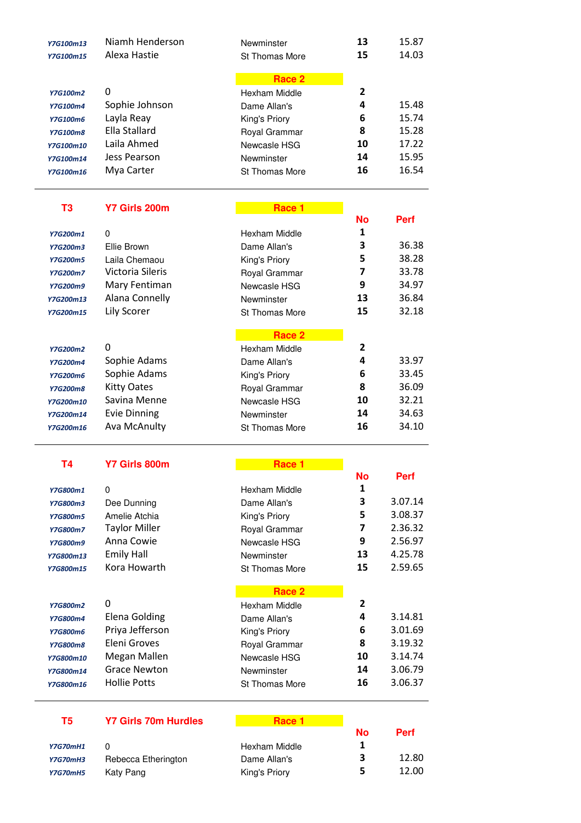| Y7G800m1               | 0                   | Hexham Middle           | $\mathbf{1}$ | Perf        |
|------------------------|---------------------|-------------------------|--------------|-------------|
| <b>T4</b>              | Y7 Girls 800m       | Race 1                  | <b>No</b>    |             |
| Y7G200m16              | Ava McAnulty        | St Thomas More          | 16           | 34.10       |
| Y7G200m14              | <b>Evie Dinning</b> | Newminster              | 14           | 34.63       |
| Y7G200m10              | Savina Menne        | Newcasle HSG            | 10           | 32.21       |
| Y7G200m8               | <b>Kitty Oates</b>  | Royal Grammar           | 8            | 36.09       |
| <b>Y7G200m6</b>        | Sophie Adams        | King's Priory           | 6            | 33.45       |
| <b>Y7G200m4</b>        | Sophie Adams        | Dame Allan's            | 4            | 33.97       |
| <b>Y7G200m2</b>        | 0                   | Hexham Middle           | 2            |             |
|                        |                     | Race 2                  |              |             |
| Y7G200m15              | Lily Scorer         | <b>St Thomas More</b>   | 15           | 32.18       |
| Y7G200m13              | Alana Connelly      | Newminster              | 13           | 36.84       |
| Y7G200m9               | Mary Fentiman       | Newcasle HSG            | 9            | 34.97       |
| <b>Y7G200m7</b>        | Victoria Sileris    | Royal Grammar           | 7            | 33.78       |
| Y7G200m5               | Laila Chemaou       | King's Priory           | 5            | 38.28       |
| Y7G200m3               | Ellie Brown         | Dame Allan's            | 3            | 36.38       |
| Y7G200m1               | 0                   | Hexham Middle           | 1            |             |
|                        |                     |                         | <b>No</b>    | <b>Perf</b> |
| T <sub>3</sub>         | Y7 Girls 200m       | Race 1                  |              |             |
| Y7G100m16              | Mya Carter          | <b>St Thomas More</b>   | 16           | 16.54       |
| Y7G100m14              | Jess Pearson        | Newminster              | 14           | 15.95       |
| Y7G100m10              | Laila Ahmed         | Newcasle HSG            | 10           | 17.22       |
| Y7G100m8               | Ella Stallard       | Royal Grammar           | 8            | 15.28       |
| Y7G100m6               | Layla Reay          | King's Priory           | 6            | 15.74       |
| Y7G100m4               | Sophie Johnson      | Dame Allan's            | 4            | 15.48       |
| <b>Y7G100m2</b>        | 0                   | Race 2<br>Hexham Middle | $\mathbf{2}$ |             |
|                        |                     |                         |              |             |
| Y7G100m13<br>Y7G100m15 | Alexa Hastie        | St Thomas More          | 15           | 14.03       |
|                        | Niamh Henderson     | Newminster              | 13           | 15.87       |

| Y7G800m1        | 0                    | Hexham Middle         | 1  |         |
|-----------------|----------------------|-----------------------|----|---------|
| <b>Y7G800m3</b> | Dee Dunning          | Dame Allan's          | 3  | 3.07.14 |
| <b>Y7G800m5</b> | Amelie Atchia        | King's Priory         | 5  | 3.08.37 |
| <b>Y7G800m7</b> | <b>Taylor Miller</b> | Royal Grammar         | 7  | 2.36.32 |
| <b>Y7G800m9</b> | Anna Cowie           | Newcasle HSG          | 9  | 2.56.97 |
| Y7G800m13       | <b>Emily Hall</b>    | Newminster            | 13 | 4.25.78 |
| Y7G800m15       | Kora Howarth         | <b>St Thomas More</b> | 15 | 2.59.65 |
|                 |                      | Race 2                |    |         |
| <b>Y7G800m2</b> | 0                    | Hexham Middle         | 2  |         |
| <b>Y7G800m4</b> | Elena Golding        | Dame Allan's          | 4  | 3.14.81 |
| <b>Y7G800m6</b> | Priya Jefferson      | King's Priory         | 6  | 3.01.69 |
| <b>Y7G800m8</b> | Eleni Groves         | Royal Grammar         | 8  | 3.19.32 |
| Y7G800m10       | Megan Mallen         | Newcasle HSG          | 10 | 3.14.74 |
| Y7G800m14       | <b>Grace Newton</b>  | Newminster            | 14 | 3.06.79 |
| Y7G800m16       |                      |                       |    |         |
|                 | <b>Hollie Potts</b>  | St Thomas More        | 16 | 3.06.37 |

# **T5** Y7 Girls 70m Hurdles

|                 |                     |               | <b>No</b> | <b>Perf</b> |
|-----------------|---------------------|---------------|-----------|-------------|
| <b>Y7G70mH1</b> |                     | Hexham Middle |           |             |
| <b>Y7G70mH3</b> | Rebecca Etherington | Dame Allan's  |           | 12.80       |
| <b>Y7G70mH5</b> | Katy Pang           | King's Priory | -5        | 12.00       |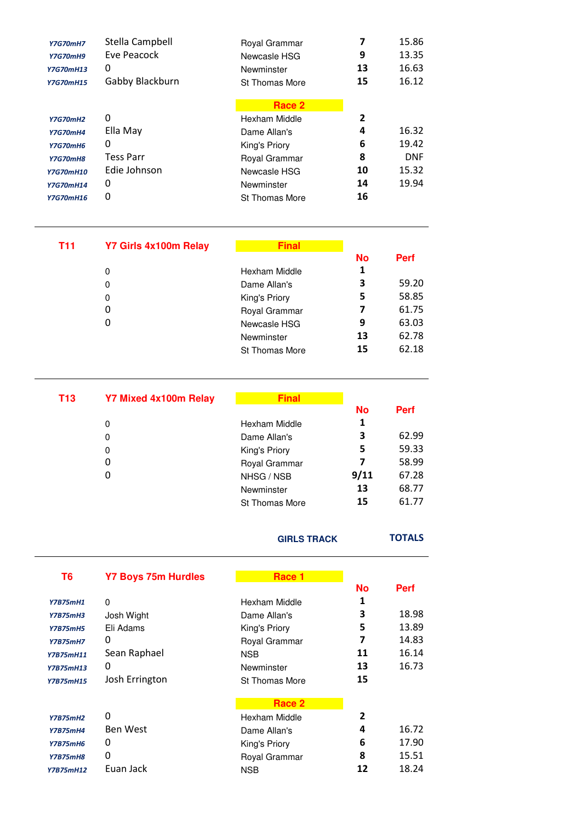| <b>Y7G70mH7</b><br><b>Y7G70mH9</b><br><b>Y7G70mH13</b><br><b>Y7G70mH15</b> | Stella Campbell<br>Eve Peacock<br>0<br>Gabby Blackburn | Royal Grammar<br>Newcasle HSG<br>Newminster<br><b>St Thomas More</b> | 7<br>9<br>13<br>15 | 15.86<br>13.35<br>16.63<br>16.12 |
|----------------------------------------------------------------------------|--------------------------------------------------------|----------------------------------------------------------------------|--------------------|----------------------------------|
|                                                                            |                                                        | Race 2                                                               |                    |                                  |
| <b>Y7G70mH2</b>                                                            | 0                                                      | Hexham Middle                                                        | 2                  |                                  |
| <b>Y7G70mH4</b>                                                            | Ella May                                               | Dame Allan's                                                         | 4                  | 16.32                            |
| <b>Y7G70mH6</b>                                                            | 0                                                      | King's Priory                                                        | 6                  | 19.42                            |
| <b>Y7G70mH8</b>                                                            | <b>Tess Parr</b>                                       | Royal Grammar                                                        | 8                  | <b>DNF</b>                       |
| <b>Y7G70mH10</b>                                                           | Edie Johnson                                           | Newcasle HSG                                                         | 10                 | 15.32                            |
| <b>Y7G70mH14</b>                                                           | 0                                                      | Newminster                                                           | 14                 | 19.94                            |
| <b>Y7G70mH16</b>                                                           | 0                                                      | <b>St Thomas More</b>                                                | 16                 |                                  |

| <b>T11</b> | Y7 Girls 4x100m Relay | <b>Final</b>          |           |             |
|------------|-----------------------|-----------------------|-----------|-------------|
|            |                       |                       | <b>No</b> | <b>Perf</b> |
|            | 0                     | Hexham Middle         | 1         |             |
|            | 0                     | Dame Allan's          | 3         | 59.20       |
|            | 0                     | King's Priory         | 5         | 58.85       |
|            | 0                     | Royal Grammar         | 7         | 61.75       |
|            | 0                     | Newcasle HSG          | 9         | 63.03       |
|            |                       | Newminster            | 13        | 62.78       |
|            |                       | <b>St Thomas More</b> | 15        | 62.18       |

| <b>T13</b> | <b>Y7 Mixed 4x100m Relay</b> | <b>Final</b>          |           |             |
|------------|------------------------------|-----------------------|-----------|-------------|
|            |                              |                       | <b>No</b> | <b>Perf</b> |
|            | 0                            | Hexham Middle         | 1         |             |
|            | 0                            | Dame Allan's          | 3         | 62.99       |
|            | 0                            | King's Priory         | 5         | 59.33       |
|            | 0                            | Royal Grammar         | 7         | 58.99       |
|            | 0                            | NHSG / NSB            | 9/11      | 67.28       |
|            |                              | Newminster            | 13        | 68.77       |
|            |                              | <b>St Thomas More</b> | 15        | 61.77       |

#### **GIRLS TRACK TOTALS**

| T6               | <b>Y7 Boys 75m Hurdles</b> | Race 1                |           |             |
|------------------|----------------------------|-----------------------|-----------|-------------|
|                  |                            |                       | <b>No</b> | <b>Perf</b> |
| <b>Y7B75mH1</b>  | 0                          | Hexham Middle         | 1         |             |
| <b>Y7B75mH3</b>  | Josh Wight                 | Dame Allan's          | 3         | 18.98       |
| <b>Y7B75mH5</b>  | Eli Adams                  | King's Priory         | 5         | 13.89       |
| <b>Y7B75mH7</b>  | 0                          | Royal Grammar         | 7         | 14.83       |
| Y7B75mH11        | Sean Raphael               | <b>NSB</b>            | 11        | 16.14       |
| <b>Y7B75mH13</b> | 0                          | Newminster            | 13        | 16.73       |
| <b>Y7B75mH15</b> | Josh Errington             | <b>St Thomas More</b> | 15        |             |
|                  |                            | Race 2                |           |             |
| <b>Y7B75mH2</b>  | 0                          | Hexham Middle         | 2         |             |
| <b>Y7B75mH4</b>  | <b>Ben West</b>            | Dame Allan's          | 4         | 16.72       |
| <b>Y7B75mH6</b>  | 0                          | King's Priory         | 6         | 17.90       |
| <b>Y7B75mH8</b>  | 0                          | Royal Grammar         | 8         | 15.51       |
| <b>Y7B75mH12</b> | Euan Jack                  | <b>NSB</b>            | 12        | 18.24       |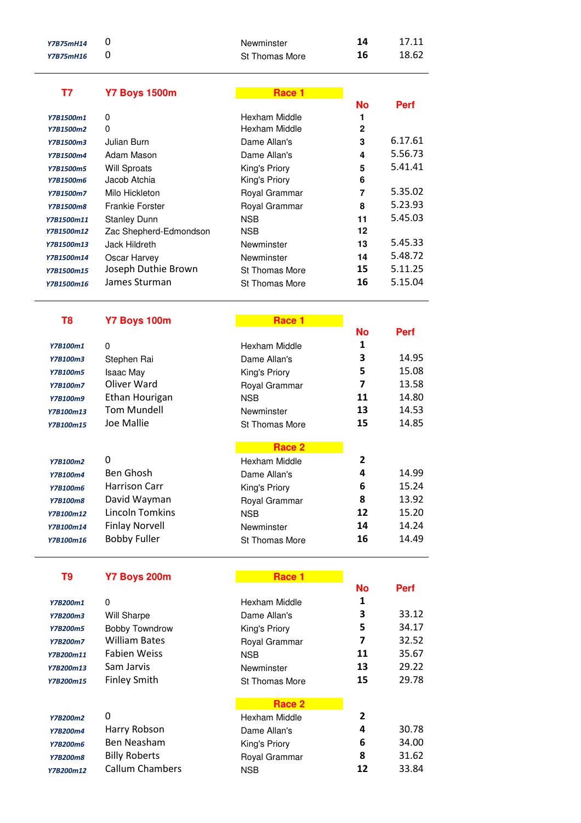| <b>Y7B75mH14</b> | 0                                    | Newminster            | 14             | 17.11          |
|------------------|--------------------------------------|-----------------------|----------------|----------------|
| Y7B75mH16        | 0                                    | St Thomas More        | 16             | 18.62          |
| <b>T7</b>        |                                      | Race 1                |                |                |
|                  | <b>Y7 Boys 1500m</b>                 |                       | <b>No</b>      | <b>Perf</b>    |
| Y7B1500m1        | 0                                    | Hexham Middle         | 1              |                |
| Y7B1500m2        | 0                                    | Hexham Middle         | $\overline{2}$ |                |
| Y7B1500m3        | Julian Burn                          | Dame Allan's          | 3              | 6.17.61        |
| Y7B1500m4        | Adam Mason                           | Dame Allan's          | 4              | 5.56.73        |
| Y7B1500m5        | <b>Will Sproats</b>                  | King's Priory         | 5              | 5.41.41        |
| Y7B1500m6        | Jacob Atchia                         | King's Priory         | 6              |                |
| Y7B1500m7        | Milo Hickleton                       | Royal Grammar         | 7              | 5.35.02        |
| <b>Y7B1500m8</b> | <b>Frankie Forster</b>               | Royal Grammar         | 8              | 5.23.93        |
| Y7B1500m11       | <b>Stanley Dunn</b>                  | <b>NSB</b>            | 11             | 5.45.03        |
| Y7B1500m12       | Zac Shepherd-Edmondson               | <b>NSB</b>            | 12             |                |
| Y7B1500m13       | Jack Hildreth                        | Newminster            | 13             | 5.45.33        |
| Y7B1500m14       | Oscar Harvey                         | Newminster            | 14             | 5.48.72        |
| Y7B1500m15       | Joseph Duthie Brown                  | St Thomas More        | 15             | 5.11.25        |
| Y7B1500m16       | James Sturman                        | <b>St Thomas More</b> | 16             | 5.15.04        |
|                  |                                      |                       |                |                |
| T <sub>8</sub>   | Y7 Boys 100m                         | Race 1                | <b>No</b>      |                |
|                  |                                      |                       | 1              | <b>Perf</b>    |
| Y7B100m1         | 0                                    | Hexham Middle         | 3              | 14.95          |
| Y7B100m3         | Stephen Rai                          | Dame Allan's          | 5              | 15.08          |
| <b>Y7B100m5</b>  | <b>Isaac May</b><br>Oliver Ward      | King's Priory         | 7              | 13.58          |
| <b>Y7B100m7</b>  |                                      | Royal Grammar         | 11             |                |
| <b>Y7B100m9</b>  | Ethan Hourigan<br><b>Tom Mundell</b> | <b>NSB</b>            | 13             | 14.80<br>14.53 |
| Y7B100m13        | Joe Mallie                           | Newminster            | 15             | 14.85          |
| Y7B100m15        |                                      | <b>St Thomas More</b> |                |                |

|                 |                        | Race 2         |    |       |
|-----------------|------------------------|----------------|----|-------|
| Y7B100m2        | O                      | Hexham Middle  | 2  |       |
| Y7B100m4        | Ben Ghosh              | Dame Allan's   | 4  | 14.99 |
| Y7B100m6        | <b>Harrison Carr</b>   | King's Priory  | 6  | 15.24 |
| <b>Y7B100m8</b> | David Wayman           | Royal Grammar  | 8  | 13.92 |
| Y7B100m12       | <b>Lincoln Tomkins</b> | <b>NSB</b>     | 12 | 15.20 |
| Y7B100m14       | <b>Finlay Norvell</b>  | Newminster     | 14 | 14.24 |
| Y7B100m16       | <b>Bobby Fuller</b>    | St Thomas More | 16 | 14.49 |
|                 |                        |                |    |       |

| Y7 Boys 200m<br>Тq |  |
|--------------------|--|

|                 |                        |                       | <b>No</b> | Perf  |
|-----------------|------------------------|-----------------------|-----------|-------|
| Y7B200m1        | 0                      | Hexham Middle         | 1         |       |
| Y7B200m3        | Will Sharpe            | Dame Allan's          | 3         | 33.12 |
| <b>Y7B200m5</b> | <b>Bobby Towndrow</b>  | King's Priory         | 5         | 34.17 |
| <b>Y7B200m7</b> | William Bates          | Royal Grammar         | 7         | 32.52 |
| Y7B200m11       | <b>Fabien Weiss</b>    | <b>NSB</b>            | 11        | 35.67 |
| Y7B200m13       | Sam Jarvis             | Newminster            | 13        | 29.22 |
| Y7B200m15       | <b>Finley Smith</b>    | <b>St Thomas More</b> | 15        | 29.78 |
|                 |                        | Race 2                |           |       |
| Y7B200m2        | 0                      | Hexham Middle         | 2         |       |
| Y7B200m4        | Harry Robson           | Dame Allan's          | 4         | 30.78 |
| <b>Y7B200m6</b> | Ben Neasham            | King's Priory         | 6         | 34.00 |
| <b>Y7B200m8</b> | <b>Billy Roberts</b>   | Royal Grammar         | 8         | 31.62 |
| Y7B200m12       | <b>Callum Chambers</b> | <b>NSB</b>            | 12        | 33.84 |
|                 |                        |                       |           |       |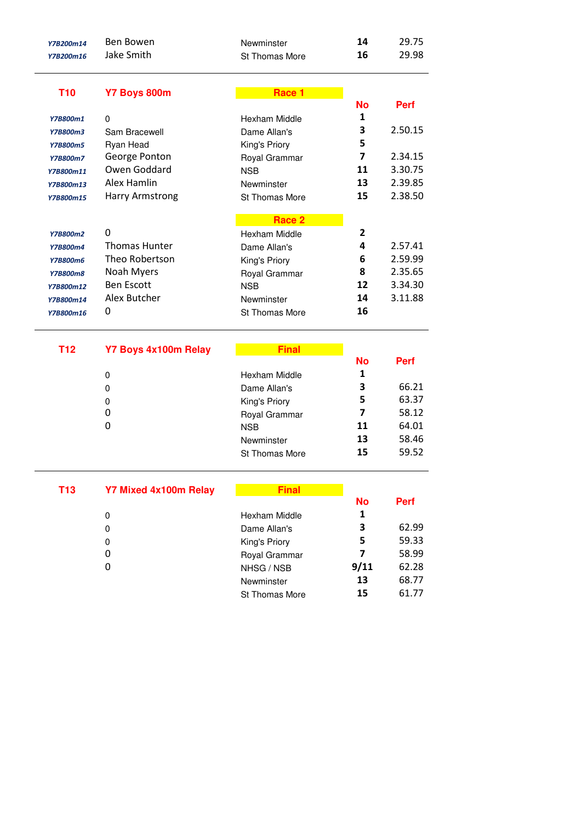| Y7B200m14<br>Y7B200m16 | <b>Ben Bowen</b><br>Jake Smith | Newminster<br>St Thomas More  | 14<br>16       | 29.75<br>29.98 |
|------------------------|--------------------------------|-------------------------------|----------------|----------------|
|                        |                                |                               |                |                |
| <b>T10</b>             | Y7 Boys 800m                   | Race 1                        |                |                |
|                        |                                |                               | No<br>1        | <b>Perf</b>    |
| Y7B800m1               | 0                              | Hexham Middle<br>Dame Allan's | 3              | 2.50.15        |
| <b>Y7B800m3</b>        | Sam Bracewell                  |                               | 5              |                |
| <b>Y7B800m5</b>        | Ryan Head                      | King's Priory                 | $\overline{ }$ |                |
| <b>Y7B800m7</b>        | George Ponton                  | Royal Grammar                 |                | 2.34.15        |
| Y7B800m11              | Owen Goddard                   | <b>NSB</b>                    | 11             | 3.30.75        |
| Y7B800m13              | Alex Hamlin                    | Newminster                    | 13             | 2.39.85        |
| Y7B800m15              | <b>Harry Armstrong</b>         | St Thomas More                | 15             | 2.38.50        |
|                        |                                | Race 2                        |                |                |
| <b>Y7B800m2</b>        | 0                              | Hexham Middle                 | $\mathbf{2}$   |                |
| <b>Y7B800m4</b>        | <b>Thomas Hunter</b>           | Dame Allan's                  | 4              | 2.57.41        |
| <b>Y7B800m6</b>        | Theo Robertson                 | King's Priory                 | 6              | 2.59.99        |
| <b>Y7B800m8</b>        | Noah Myers                     | Royal Grammar                 | 8              | 2.35.65        |
| Y7B800m12              | <b>Ben Escott</b>              | <b>NSB</b>                    | 12             | 3.34.30        |
| Y7B800m14              | Alex Butcher                   | Newminster                    | 14             | 3.11.88        |
| Y7B800m16              | 0                              | <b>St Thomas More</b>         | 16             |                |
|                        |                                |                               |                |                |
| <b>T12</b>             | Y7 Boys 4x100m Relay           | <b>Final</b>                  |                |                |
|                        |                                |                               | No             | <b>Perf</b>    |
|                        | 0                              | Hexham Middle                 | 1              |                |
|                        | 0                              | Dame Allan's                  | 3              | 66.21          |
|                        | 0                              | King's Priory                 | 5              | 63.37          |
|                        | 0                              | Royal Grammar                 | 7              | 58.12          |
|                        | 0                              | <b>NSB</b>                    | 11             | 64.01          |
|                        |                                | Newminster                    | 13             | 58.46          |
|                        |                                | St Thomas More                | 15             | 59.52          |
|                        |                                |                               |                |                |
| <b>T13</b>             | <b>Y7 Mixed 4x100m Relay</b>   | <b>Final</b>                  |                |                |
|                        |                                |                               | <b>No</b><br>1 | <b>Perf</b>    |
|                        | 0                              | Hexham Middle                 |                |                |
|                        | 0                              | Dame Allan's                  | 3              | 62.99          |
|                        | 0                              | King's Priory                 | 5              | 59.33          |
|                        | 0                              | Royal Grammar                 | $\overline{ }$ | 58.99          |
|                        | 0                              | NHSG / NSB                    | 9/11           | 62.28          |
|                        |                                | Newminster                    | 13             | 68.77          |
|                        |                                |                               | 15             | 61.77          |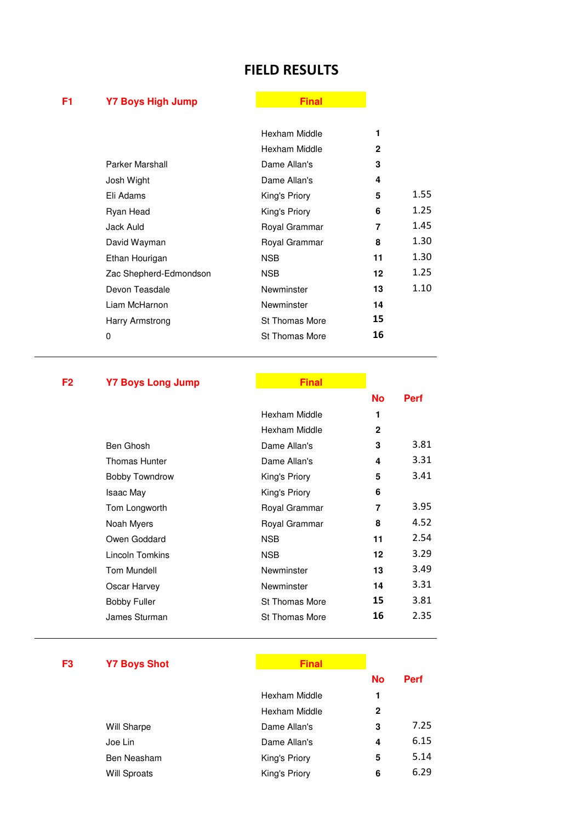## **FIELD RESULTS**

# **F1** Y7 Boys High Jump **Final Final**

|                        | Hexham Middle         | 1            |      |
|------------------------|-----------------------|--------------|------|
|                        | Hexham Middle         | $\mathbf{2}$ |      |
| Parker Marshall        | Dame Allan's          | 3            |      |
| Josh Wight             | Dame Allan's          | 4            |      |
| Eli Adams              | King's Priory         | 5            | 1.55 |
| Ryan Head              | King's Priory         | 6            | 1.25 |
| Jack Auld              | Royal Grammar         | 7            | 1.45 |
| David Wayman           | Royal Grammar         | 8            | 1.30 |
| Ethan Hourigan         | <b>NSB</b>            | 11           | 1.30 |
| Zac Shepherd-Edmondson | <b>NSB</b>            | 12           | 1.25 |
| Devon Teasdale         | Newminster            | 13           | 1.10 |
| Liam McHarnon          | Newminster            | 14           |      |
| Harry Armstrong        | <b>St Thomas More</b> | 15           |      |
| 0                      | <b>St Thomas More</b> | 16           |      |
|                        |                       |              |      |

# **F2** Y7 Boys Long Jump **Final COVID-TIME COVID-TIME COVID-TIME COVID-TIME COVID-TIME COVID-TIME COVID-TIME COVID-**

 $\mathcal{L}_{\mathcal{A}}$ 

|                       |                       | No           | Perf |
|-----------------------|-----------------------|--------------|------|
|                       | Hexham Middle         | 1            |      |
|                       | Hexham Middle         | $\mathbf{2}$ |      |
| Ben Ghosh             | Dame Allan's          | 3            | 3.81 |
| <b>Thomas Hunter</b>  | Dame Allan's          | 4            | 3.31 |
| <b>Bobby Towndrow</b> | King's Priory         | 5            | 3.41 |
| Isaac May             | King's Priory         | 6            |      |
| Tom Longworth         | Royal Grammar         | 7            | 3.95 |
| Noah Myers            | Royal Grammar         | 8            | 4.52 |
| Owen Goddard          | <b>NSB</b>            | 11           | 2.54 |
| Lincoln Tomkins       | <b>NSB</b>            | 12           | 3.29 |
| Tom Mundell           | Newminster            | 13           | 3.49 |
| Oscar Harvey          | Newminster            | 14           | 3.31 |
| <b>Bobby Fuller</b>   | <b>St Thomas More</b> | 15           | 3.81 |
| James Sturman         | <b>St Thomas More</b> | 16           | 2.35 |

| F3 | <b>Y7 Boys Shot</b> | Final         |              |             |
|----|---------------------|---------------|--------------|-------------|
|    |                     |               | <b>No</b>    | <b>Perf</b> |
|    |                     | Hexham Middle | 1            |             |
|    |                     | Hexham Middle | $\mathbf{2}$ |             |
|    | Will Sharpe         | Dame Allan's  | 3            | 7.25        |
|    | Joe Lin             | Dame Allan's  | 4            | 6.15        |
|    | Ben Neasham         | King's Priory | 5            | 5.14        |
|    | <b>Will Sproats</b> | King's Priory | 6            | 6.29        |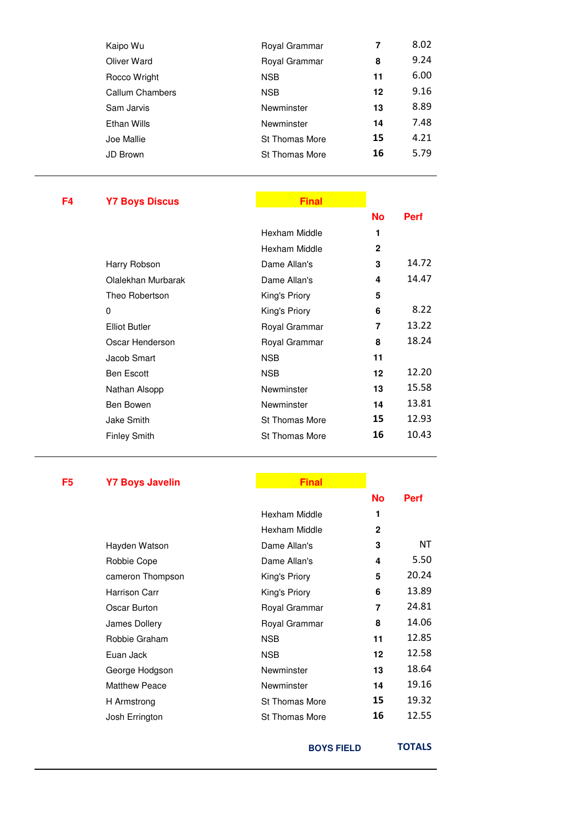| Kaipo Wu        | Royal Grammar         | 7  | 8.02 |
|-----------------|-----------------------|----|------|
| Oliver Ward     | Royal Grammar         | 8  | 9.24 |
| Rocco Wright    | <b>NSB</b>            | 11 | 6.00 |
| Callum Chambers | <b>NSB</b>            | 12 | 9.16 |
| Sam Jarvis      | Newminster            | 13 | 8.89 |
| Ethan Wills     | Newminster            | 14 | 7.48 |
| Joe Mallie      | <b>St Thomas More</b> | 15 | 4.21 |
| JD Brown        | <b>St Thomas More</b> | 16 | 5.79 |
|                 |                       |    |      |

# **F4** Y7 Boys Discus **Final All Property Final All Property**

|                      |                       | No           | <b>Perf</b> |
|----------------------|-----------------------|--------------|-------------|
|                      | Hexham Middle         | 1            |             |
|                      | Hexham Middle         | $\mathbf{2}$ |             |
| Harry Robson         | Dame Allan's          | 3            | 14.72       |
| Olalekhan Murbarak   | Dame Allan's          | 4            | 14.47       |
| Theo Robertson       | King's Priory         | 5            |             |
| 0                    | King's Priory         | 6            | 8.22        |
| <b>Elliot Butler</b> | Royal Grammar         | 7            | 13.22       |
| Oscar Henderson      | Royal Grammar         | 8            | 18.24       |
| Jacob Smart          | <b>NSB</b>            | 11           |             |
| <b>Ben Escott</b>    | <b>NSB</b>            | 12           | 12.20       |
| Nathan Alsopp        | Newminster            | 13           | 15.58       |
| Ben Bowen            | Newminster            | 14           | 13.81       |
| Jake Smith           | <b>St Thomas More</b> | 15           | 12.93       |
| <b>Finley Smith</b>  | <b>St Thomas More</b> | 16           | 10.43       |
|                      |                       |              |             |

### **F5** Y7 Boys Javelin **Final Allen Expanding Contract Property** Final Allen Expanding Property

|                      |                       | <b>No</b>    | <b>Perf</b> |
|----------------------|-----------------------|--------------|-------------|
|                      | Hexham Middle         | 1            |             |
|                      | Hexham Middle         | $\mathbf{2}$ |             |
| Hayden Watson        | Dame Allan's          | 3            | NT          |
| Robbie Cope          | Dame Allan's          | 4            | 5.50        |
| cameron Thompson     | King's Priory         | 5            | 20.24       |
| Harrison Carr        | King's Priory         | 6            | 13.89       |
| Oscar Burton         | Royal Grammar         | 7            | 24.81       |
| James Dollery        | Royal Grammar         | 8            | 14.06       |
| Robbie Graham        | <b>NSB</b>            | 11           | 12.85       |
| Euan Jack            | <b>NSB</b>            | 12           | 12.58       |
| George Hodgson       | Newminster            | 13           | 18.64       |
| <b>Matthew Peace</b> | Newminster            | 14           | 19.16       |
| H Armstrong          | St Thomas More        | 15           | 19.32       |
| Josh Errington       | <b>St Thomas More</b> | 16           | 12.55       |
|                      |                       |              |             |

**BOYS FIELD TOTALS**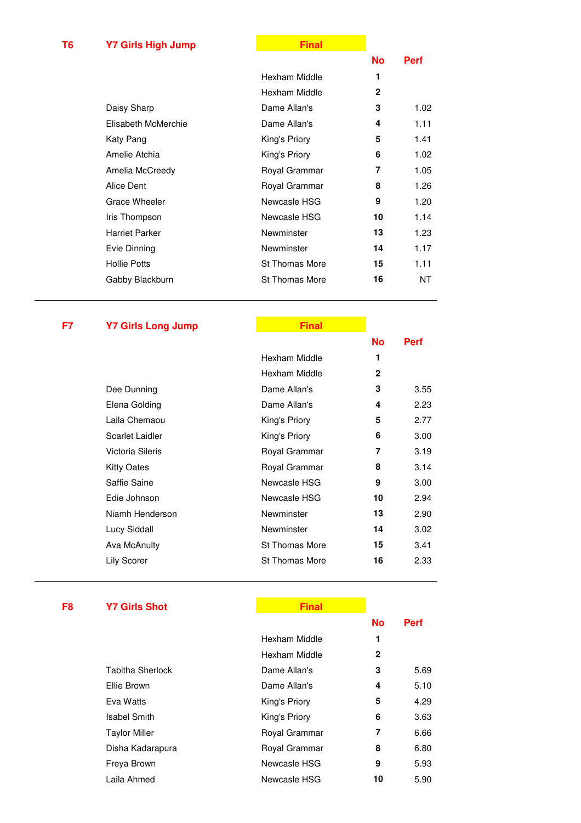# **T6** Y7 Girls High Jump **Final All Property** Contact To Property Contact To Property Contact To Property Contact To Property Contact To Property Contact To Property Contact To Property Contact To Property Contact To Proper

|                       |                       | No           | Perf |
|-----------------------|-----------------------|--------------|------|
|                       | Hexham Middle         | 1            |      |
|                       | Hexham Middle         | $\mathbf{2}$ |      |
| Daisy Sharp           | Dame Allan's          | 3            | 1.02 |
| Elisabeth McMerchie   | Dame Allan's          | 4            | 1.11 |
| Katy Pang             | King's Priory         | 5            | 1.41 |
| Amelie Atchia         | King's Priory         | 6            | 1.02 |
| Amelia McCreedy       | Royal Grammar         | 7            | 1.05 |
| Alice Dent            | Royal Grammar         | 8            | 1.26 |
| Grace Wheeler         | Newcasle HSG          | 9            | 1.20 |
| Iris Thompson         | Newcasle HSG          | 10           | 1.14 |
| <b>Harriet Parker</b> | Newminster            | 13           | 1.23 |
| Evie Dinning          | Newminster            | 14           | 1.17 |
| <b>Hollie Potts</b>   | <b>St Thomas More</b> | 15           | 1.11 |
| Gabby Blackburn       | <b>St Thomas More</b> | 16           | NΤ   |
|                       |                       |              |      |

# **F7** Y7 Girls Long Jump **Final Constructs Final**

|                  |                       | <b>No</b>    | Perf |
|------------------|-----------------------|--------------|------|
|                  | Hexham Middle         | 1            |      |
|                  | Hexham Middle         | $\mathbf{2}$ |      |
| Dee Dunning      | Dame Allan's          | 3            | 3.55 |
| Elena Golding    | Dame Allan's          | 4            | 2.23 |
| Laila Chemaou    | King's Priory         | 5            | 2.77 |
| Scarlet Laidler  | King's Priory         | 6            | 3.00 |
| Victoria Sileris | Royal Grammar         | 7            | 3.19 |
| Kitty Oates      | Royal Grammar         | 8            | 3.14 |
| Saffie Saine     | Newcasle HSG          | 9            | 3.00 |
| Edie Johnson     | Newcasle HSG          | 10           | 2.94 |
| Niamh Henderson  | Newminster            | 13           | 2.90 |
| Lucy Siddall     | Newminster            | 14           | 3.02 |
| Ava McAnulty     | <b>St Thomas More</b> | 15           | 3.41 |
| Lily Scorer      | <b>St Thomas More</b> | 16           | 2.33 |
|                  |                       |              |      |

### **F8** Y7 Girls Shot **Final Final Final**

|                      |               | <b>No</b> | Perf |
|----------------------|---------------|-----------|------|
|                      | Hexham Middle | 1         |      |
|                      | Hexham Middle | 2         |      |
| Tabitha Sherlock     | Dame Allan's  | 3         | 5.69 |
| Ellie Brown          | Dame Allan's  | 4         | 5.10 |
| Eva Watts            | King's Priory | 5         | 4.29 |
| Isabel Smith         | King's Priory | 6         | 3.63 |
| <b>Taylor Miller</b> | Royal Grammar | 7         | 6.66 |
| Disha Kadarapura     | Royal Grammar | 8         | 6.80 |
| Freya Brown          | Newcasle HSG  | 9         | 5.93 |
| Laila Ahmed          | Newcasle HSG  | 10        | 5.90 |